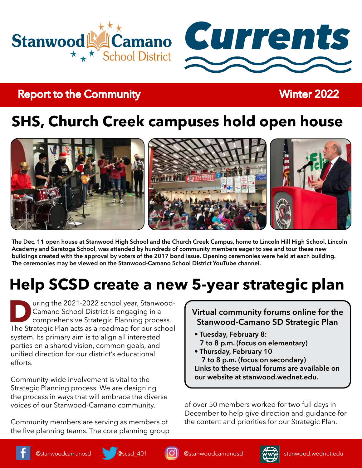



# **Report to the Community Report to the Community Report of Australian Report Follows**

# **SHS, Church Creek campuses hold open house**



**The Dec. 11 open house at Stanwood High School and the Church Creek Campus, home to Lincoln Hill High School, Lincoln Academy and Saratoga School, was attended by hundreds of community members eager to see and tour these new buildings created with the approval by voters of the 2017 bond issue. Opening ceremonies were held at each building. The ceremonies may be viewed on the Stanwood-Camano School District YouTube channel.**

# **Help SCSD create a new 5-year strategic plan**

**During the 2021-2022 school year, Stanwood-**<br>
Camano School District is engaging in a<br>
comprehensive Strategic Planning process.<br>
The Strategic Plan acts as a roadmap for our school Camano School District is engaging in a comprehensive Strategic Planning process. system. Its primary aim is to align all interested parties on a shared vision, common goals, and unified direction for our district's educational efforts.

Community-wide involvement is vital to the Strategic Planning process. We are designing the process in ways that will embrace the diverse voices of our Stanwood-Camano community.

Community members are serving as members of the five planning teams. The core planning group **Virtual community forums online for the Stanwood-Camano SD Strategic Plan**

- **Tuesday, February 8: 7 to 8 p.m. (focus on elementary)**
- **Thursday, February 10 7 to 8 p.m. (focus on secondary) Links to these virtual forums are available on our website at stanwood.wednet.edu.**

of over 50 members worked for two full days in December to help give direction and guidance for the content and priorities for our Strategic Plan.





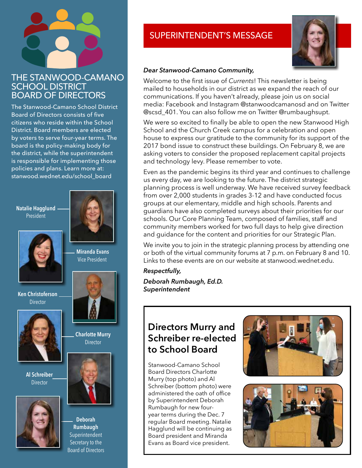### THE STANWOOD-CAMANO SCHOOL DISTRICT BOARD OF DIRECTORS

The Stanwood-Camano School District Board of Directors consists of five citizens who reside within the School District. Board members are elected by voters to serve four-year terms. The board is the policy-making body for the district, while the superintendent is responsible for implementing those policies and plans. Learn more at: stanwood.wednet.edu/school\_board

**Natalie Hagglund** President



**Ken Christoferson** Director



**Al Schreiber Director** 





 **Miranda Evans** Vice President



**Charlotte Murry Director** 



**Deborah Rumbaugh** Superintendent Secretary to the Board of Directors

## SUPERINTENDENT'S MESSAGE



### *Dear Stanwood-Camano Community,*

Welcome to the first issue of *Currents*! This newsletter is being mailed to households in our district as we expand the reach of our communications. If you haven't already, please join us on social media: Facebook and Instagram @stanwoodcamanosd and on Twitter @scsd\_401. You can also follow me on Twitter @rumbaughsupt.

We were so excited to finally be able to open the new Stanwood High School and the Church Creek campus for a celebration and open house to express our gratitude to the community for its support of the 2017 bond issue to construct these buildings. On February 8, we are asking voters to consider the proposed replacement capital projects and technology levy. Please remember to vote.

Even as the pandemic begins its third year and continues to challenge us every day, we are looking to the future. The district strategic planning process is well underway. We have received survey feedback from over 2,000 students in grades 3-12 and have conducted focus groups at our elementary, middle and high schools. Parents and guardians have also completed surveys about their priorities for our schools. Our Core Planning Team, composed of families, staff and community members worked for two full days to help give direction and guidance for the content and priorities for our Strategic Plan.

We invite you to join in the strategic planning process by attending one or both of the virtual community forums at 7 p.m. on February 8 and 10. Links to these events are on our website at stanwood.wednet.edu.

### *Respectfully,*

*Deborah Rumbaugh, Ed.D. Superintendent*

## **Directors Murry and Schreiber re-elected to School Board**

Stanwood-Camano School Board Directors Charlotte Murry (top photo) and Al Schreiber (bottom photo) were administered the oath of office by Superintendent Deborah Rumbaugh for new fouryear terms during the Dec. 7 regular Board meeting. Natalie Hagglund will be continuing as Board president and Miranda Evans as Board vice president.



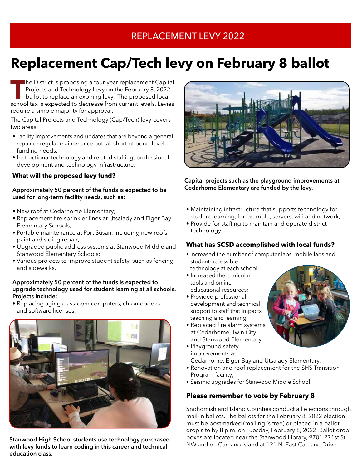## REPLACEMENT LEVY 2022

# **Replacement Cap/Tech levy on February 8 ballot**

**The District is proposing a four-year replacement Capital Projects and Technology Levy on the February 8, 2022<br>
ballot to replace an expiring levy. The proposed local school tax is expected to decrease from current levels** Projects and Technology Levy on the February 8, 2022 ballot to replace an expiring levy. The proposed local require a simple majority for approval.

The Capital Projects and Technology (Cap/Tech) levy covers two areas:

- Facility improvements and updates that are beyond a general repair or regular maintenance but fall short of bond-level funding needs.
- Instructional technology and related staffing, professional development and technology infrastructure.

### **What will the proposed levy fund?**

#### **Approximately 50 percent of the funds is expected to be used for long-term facility needs, such as:**

- New roof at Cedarhome Elementary;
- Replacement fire sprinkler lines at Utsalady and Elger Bay Elementary Schools;
- Portable maintenance at Port Susan, including new roofs, paint and siding repair;
- Upgraded public address systems at Stanwood Middle and Stanwood Elementary Schools;
- Various projects to improve student safety, such as fencing and sidewalks.

#### **Approximately 50 percent of the funds is expected to upgrade technology used for student learning at all schools. Projects include:**

• Replacing aging classroom computers, chromebooks and software licenses;



**Stanwood High School students use technology purchased with levy funds to learn coding in this career and technical education class.**



**Capital projects such as the playground improvements at Cedarhome Elementary are funded by the levy.**

- Maintaining infrastructure that supports technology for student learning, for example, servers, wifi and network;
- Provide for staffing to maintain and operate district technology.

### **What has SCSD accomplished with local funds?**

- Increased the number of computer labs, mobile labs and student-accessible
- technology at each school; • Increased the curricular
- tools and online educational resources;
- Provided professional development and technical support to staff that impacts teaching and learning;
- Replaced fire alarm systems at Cedarhome, Twin City and Stanwood Elementary;
- Playground safety improvements at

Cedarhome, Elger Bay and Utsalady Elementary;

- Renovation and roof replacement for the SHS Transition Program facility;
- Seismic upgrades for Stanwood Middle School.

### **Please remember to vote by February 8**

Snohomish and Island Counties conduct all elections through mail-in ballots. The ballots for the February 8, 2022 election must be postmarked (mailing is free) or placed in a ballot drop site by 8 p.m. on Tuesday, February 8, 2022. Ballot drop boxes are located near the Stanwood Library, 9701 271st St. NW and on Camano Island at 121 N. East Camano Drive.